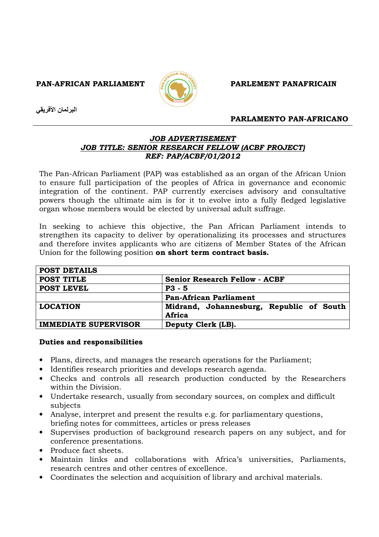PAN-AFRICAN PARLIAMENT **PARLIAMENT** PARLEMENT PANAFRICAIN



البرلمان الأفريقي

### PARLAMENTO PAN-AFRICANO

## JOB ADVERTISEMENT JOB TITLE: SENIOR RESEARCH FELLOW (ACBF PROJECT) REF: PAP/ACBF/01/2012

The Pan-African Parliament (PAP) was established as an organ of the African Union to ensure full participation of the peoples of Africa in governance and economic integration of the continent. PAP currently exercises advisory and consultative powers though the ultimate aim is for it to evolve into a fully fledged legislative organ whose members would be elected by universal adult suffrage.

In seeking to achieve this objective, the Pan African Parliament intends to strengthen its capacity to deliver by operationalizing its processes and structures and therefore invites applicants who are citizens of Member States of the African Union for the following position on short term contract basis.

| <b>POST DETAILS</b>         |                                                    |
|-----------------------------|----------------------------------------------------|
| POST TITLE                  | <b>Senior Research Fellow - ACBF</b>               |
| <b>POST LEVEL</b>           | $P3 - 5$                                           |
|                             | <b>Pan-African Parliament</b>                      |
| <b>LOCATION</b>             | Midrand, Johannesburg, Republic of South<br>Africa |
| <b>IMMEDIATE SUPERVISOR</b> | Deputy Clerk (LB).                                 |

### Duties and responsibilities

- Plans, directs, and manages the research operations for the Parliament;
- Identifies research priorities and develops research agenda.
- Checks and controls all research production conducted by the Researchers within the Division.
- Undertake research, usually from secondary sources, on complex and difficult subjects
- Analyse, interpret and present the results e.g. for parliamentary questions, briefing notes for committees, articles or press releases
- Supervises production of background research papers on any subject, and for conference presentations.
- Produce fact sheets.
- Maintain links and collaborations with Africa's universities, Parliaments, research centres and other centres of excellence.
- Coordinates the selection and acquisition of library and archival materials.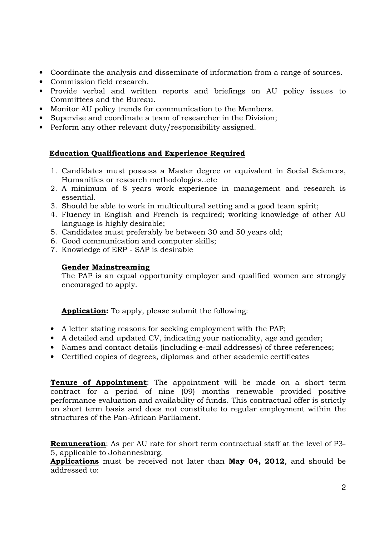- Coordinate the analysis and disseminate of information from a range of sources.
- Commission field research.
- Provide verbal and written reports and briefings on AU policy issues to Committees and the Bureau.
- Monitor AU policy trends for communication to the Members.
- Supervise and coordinate a team of researcher in the Division;
- Perform any other relevant duty/responsibility assigned.

# Education Qualifications and Experience Required

- 1. Candidates must possess a Master degree or equivalent in Social Sciences, Humanities or research methodologies..etc
- 2. A minimum of 8 years work experience in management and research is essential.
- 3. Should be able to work in multicultural setting and a good team spirit;
- 4. Fluency in English and French is required; working knowledge of other AU language is highly desirable;
- 5. Candidates must preferably be between 30 and 50 years old;
- 6. Good communication and computer skills;
- 7. Knowledge of ERP SAP is desirable

## Gender Mainstreaming

The PAP is an equal opportunity employer and qualified women are strongly encouraged to apply.

Application: To apply, please submit the following:

- A letter stating reasons for seeking employment with the PAP;
- A detailed and updated CV, indicating your nationality, age and gender;
- Names and contact details (including e-mail addresses) of three references;
- Certified copies of degrees, diplomas and other academic certificates

**Tenure of Appointment**: The appointment will be made on a short term contract for a period of nine (09) months renewable provided positive performance evaluation and availability of funds. This contractual offer is strictly on short term basis and does not constitute to regular employment within the structures of the Pan-African Parliament.

**Remuneration:** As per AU rate for short term contractual staff at the level of P3-5, applicable to Johannesburg.

Applications must be received not later than May 04, 2012, and should be addressed to: